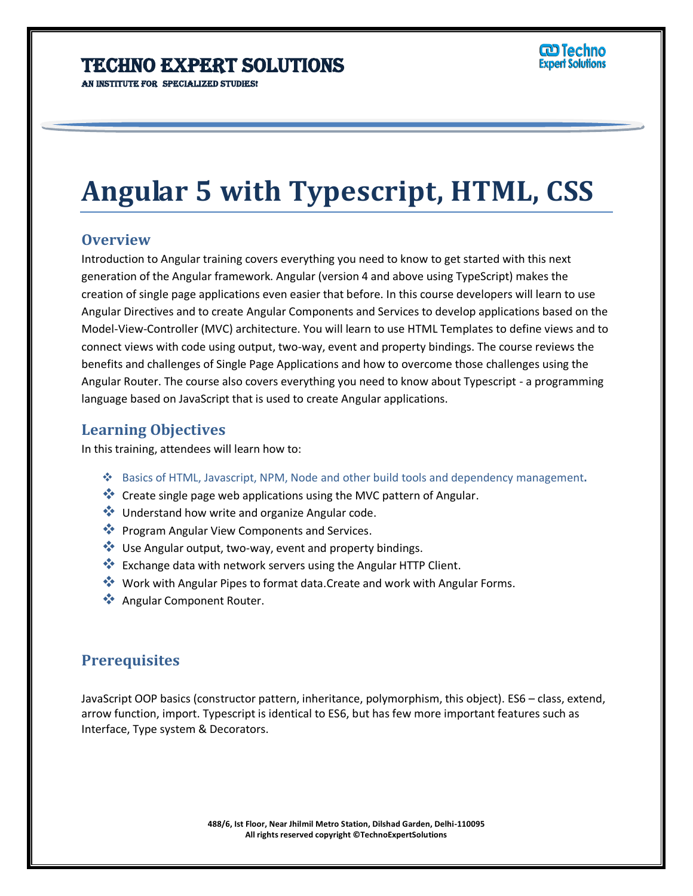# **Angular 5 with Typescript, HTML, CSS**

Ï

## **Overview**

Introduction to Angular training covers everything you need to know to get started with this next generation of the Angular framework. Angular (version 4 and above using TypeScript) makes the creation of single page applications even easier that before. In this course developers will learn to use Angular Directives and to create Angular Components and Services to develop applications based on the Model-View-Controller (MVC) architecture. You will learn to use HTML Templates to define views and to connect views with code using output, two-way, event and property bindings. The course reviews the benefits and challenges of Single Page Applications and how to overcome those challenges using the Angular Router. The course also covers everything you need to know about Typescript - a programming language based on JavaScript that is used to create Angular applications.

## **Learning Objectives**

In this training, attendees will learn how to:

- Basics of HTML, Javascript, NPM, Node and other build tools and dependency management**.**
- Create single page web applications using the MVC pattern of Angular.
- $\clubsuit$  Understand how write and organize Angular code.
- **Program Angular View Components and Services.**
- $\cdot$  Use Angular output, two-way, event and property bindings.
- \*\* Exchange data with network servers using the Angular HTTP Client.
- ◆ Work with Angular Pipes to format data.Create and work with Angular Forms.
- **Angular Component Router.**

## **Prerequisites**

JavaScript OOP basics (constructor pattern, inheritance, polymorphism, this object). ES6 – class, extend, arrow function, import. Typescript is identical to ES6, but has few more important features such as Interface, Type system & Decorators.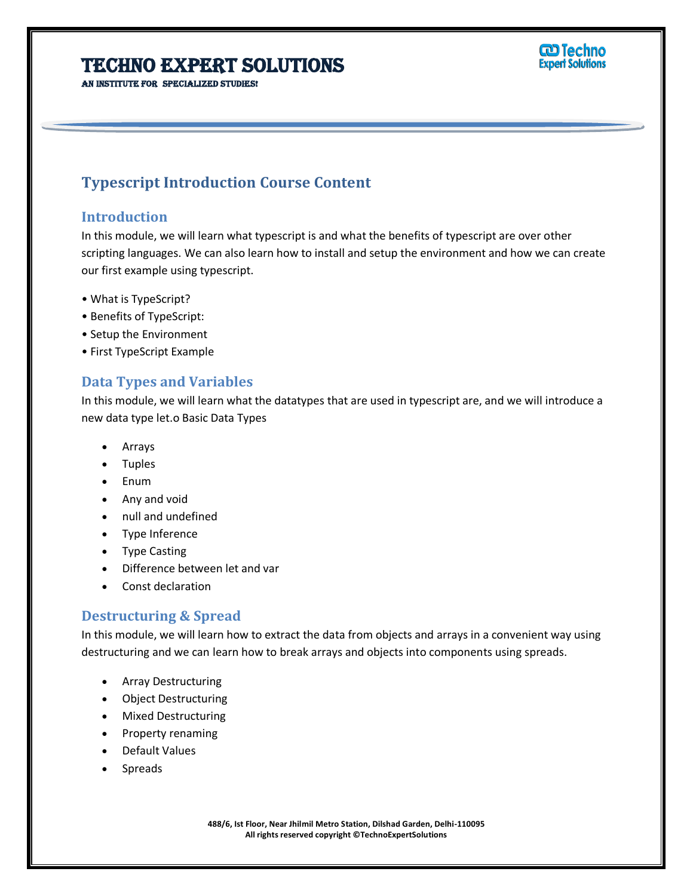AN INSTITUTE FOR SPECIALIZED STUDIES!

## **ට Techno Expert Solutions**

## **Typescript Introduction Course Content**

## **Introduction**

In this module, we will learn what typescript is and what the benefits of typescript are over other scripting languages. We can also learn how to install and setup the environment and how we can create our first example using typescript.

Ï

- What is TypeScript?
- Benefits of TypeScript:
- Setup the Environment
- First TypeScript Example

## **Data Types and Variables**

In this module, we will learn what the datatypes that are used in typescript are, and we will introduce a new data type let.o Basic Data Types

- Arrays
- Tuples
- Enum
- Any and void
- null and undefined
- Type Inference
- Type Casting
- Difference between let and var
- Const declaration

## **Destructuring & Spread**

In this module, we will learn how to extract the data from objects and arrays in a convenient way using destructuring and we can learn how to break arrays and objects into components using spreads.

- Array Destructuring
- Object Destructuring
- Mixed Destructuring
- Property renaming
- Default Values
- Spreads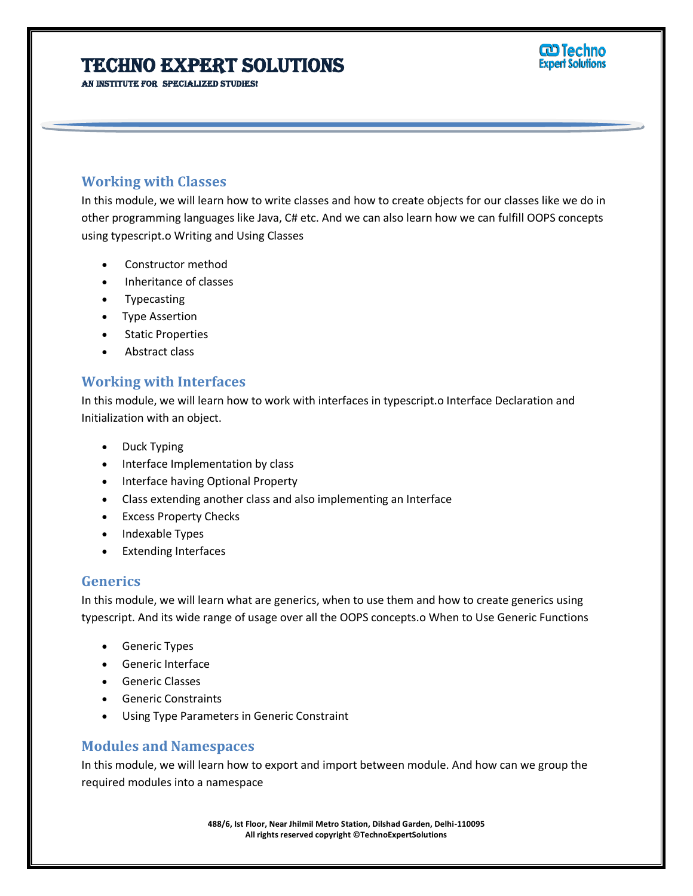AN INSTITUTE FOR SPECIALIZED STUDIES!

# **ට Techno**

## **Working with Classes**

In this module, we will learn how to write classes and how to create objects for our classes like we do in other programming languages like Java, C# etc. And we can also learn how we can fulfill OOPS concepts using typescript.o Writing and Using Classes

Ï

- Constructor method
- Inheritance of classes
- Typecasting
- Type Assertion
- Static Properties
- Abstract class

## **Working with Interfaces**

In this module, we will learn how to work with interfaces in typescript.o Interface Declaration and Initialization with an object.

- Duck Typing
- Interface Implementation by class
- Interface having Optional Property
- Class extending another class and also implementing an Interface
- Excess Property Checks
- Indexable Types
- Extending Interfaces

## **Generics**

In this module, we will learn what are generics, when to use them and how to create generics using typescript. And its wide range of usage over all the OOPS concepts.o When to Use Generic Functions

- **•** Generic Types
- Generic Interface
- Generic Classes
- Generic Constraints
- Using Type Parameters in Generic Constraint

## **Modules and Namespaces**

In this module, we will learn how to export and import between module. And how can we group the required modules into a namespace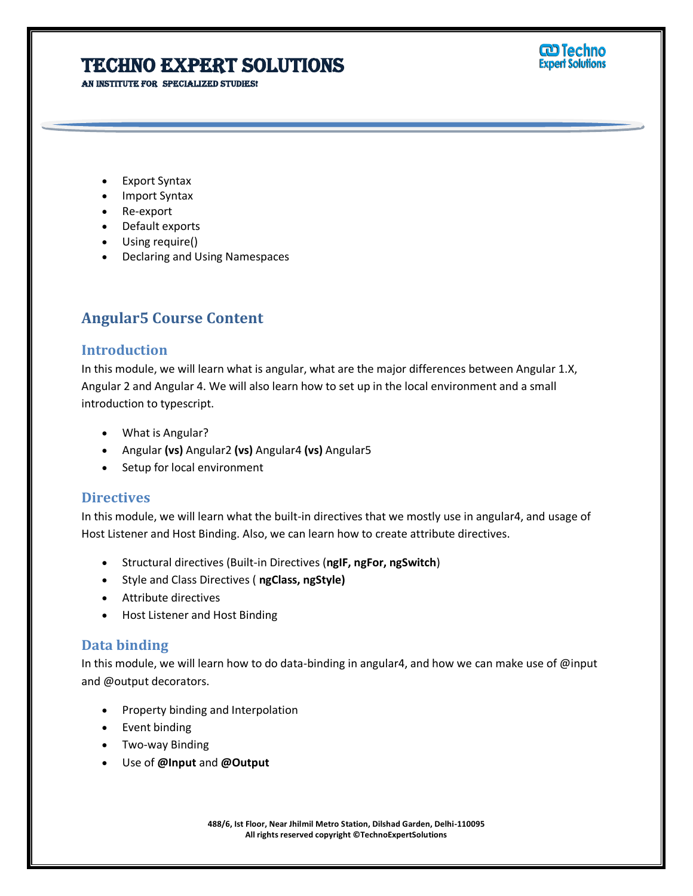AN INSTITUTE FOR SPECIALIZED STUDIES!



- Export Syntax
- Import Syntax
- Re-export
- Default exports
- Using require()
- Declaring and Using Namespaces

## **Angular5 Course Content**

### **Introduction**

In this module, we will learn what is angular, what are the major differences between Angular 1.X, Angular 2 and Angular 4. We will also learn how to set up in the local environment and a small introduction to typescript.

Ï

- What is Angular?
- Angular **(vs)** Angular2 **(vs)** Angular4 **(vs)** Angular5
- Setup for local environment

### **Directives**

In this module, we will learn what the built-in directives that we mostly use in angular4, and usage of Host Listener and Host Binding. Also, we can learn how to create attribute directives.

- Structural directives (Built-in Directives (**ngIF, ngFor, ngSwitch**)
- Style and Class Directives ( **ngClass, ngStyle)**
- Attribute directives
- Host Listener and Host Binding

#### **Data binding**

In this module, we will learn how to do data-binding in angular4, and how we can make use of @input and @output decorators.

- Property binding and Interpolation
- Event binding
- Two-way Binding
- Use of **@Input** and **@Output**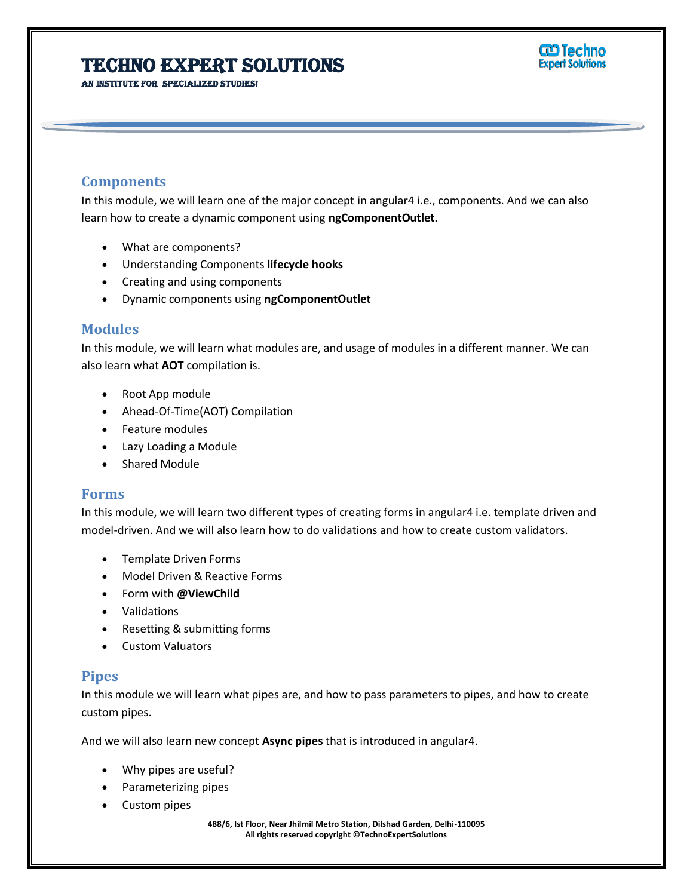AN INSTITUTE FOR SPECIALIZED STUDIES!



## **Components**

In this module, we will learn one of the major concept in angular4 i.e., components. And we can also learn how to create a dynamic component using **ngComponentOutlet.**

Ï

- What are components?
- Understanding Components **lifecycle hooks**
- Creating and using components
- Dynamic components using **ngComponentOutlet**

#### **Modules**

In this module, we will learn what modules are, and usage of modules in a different manner. We can also learn what **AOT** compilation is.

- Root App module
- Ahead-Of-Time(AOT) Compilation
- Feature modules
- Lazy Loading a Module
- Shared Module

#### **Forms**

In this module, we will learn two different types of creating forms in angular4 i.e. template driven and model-driven. And we will also learn how to do validations and how to create custom validators.

- Template Driven Forms
- Model Driven & Reactive Forms
- Form with **@ViewChild**
- Validations
- Resetting & submitting forms
- Custom Valuators

## **Pipes**

In this module we will learn what pipes are, and how to pass parameters to pipes, and how to create custom pipes.

And we will also learn new concept **Async pipes** that is introduced in angular4.

- Why pipes are useful?
- Parameterizing pipes
- Custom pipes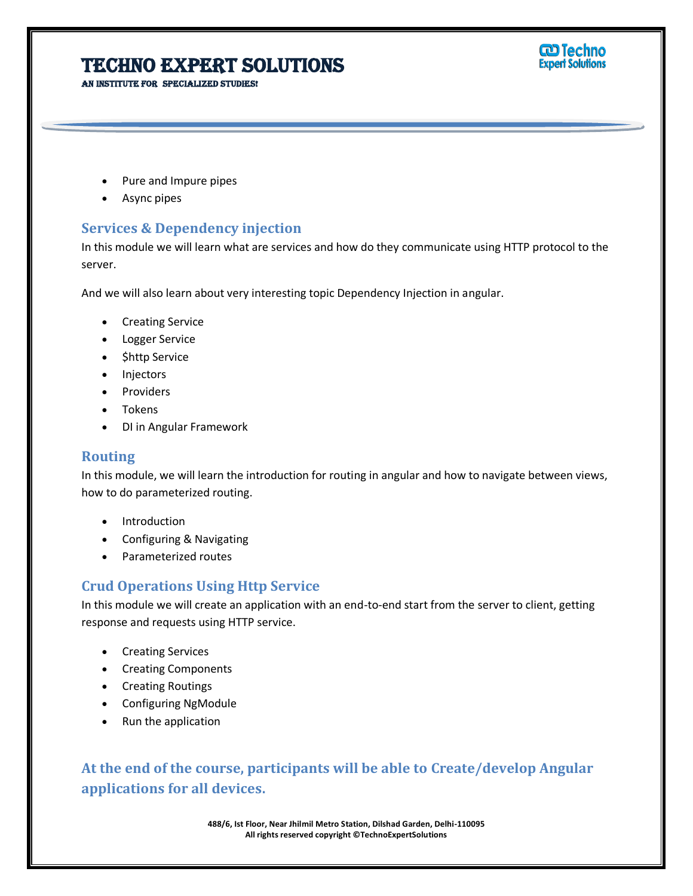AN INSTITUTE FOR SPECIALIZED STUDIES!



- Pure and Impure pipes
- Async pipes

## **Services & Dependency injection**

In this module we will learn what are services and how do they communicate using HTTP protocol to the server.

Ī

And we will also learn about very interesting topic Dependency Injection in angular.

- **•** Creating Service
- Logger Service
- \$http Service
- Injectors
- Providers
- Tokens
- DI in Angular Framework

## **Routing**

In this module, we will learn the introduction for routing in angular and how to navigate between views, how to do parameterized routing.

- Introduction
- Configuring & Navigating
- Parameterized routes

## **Crud Operations Using Http Service**

In this module we will create an application with an end-to-end start from the server to client, getting response and requests using HTTP service.

- Creating Services
- Creating Components
- Creating Routings
- Configuring NgModule
- Run the application

**At the end of the course, participants will be able to Create/develop Angular applications for all devices.**